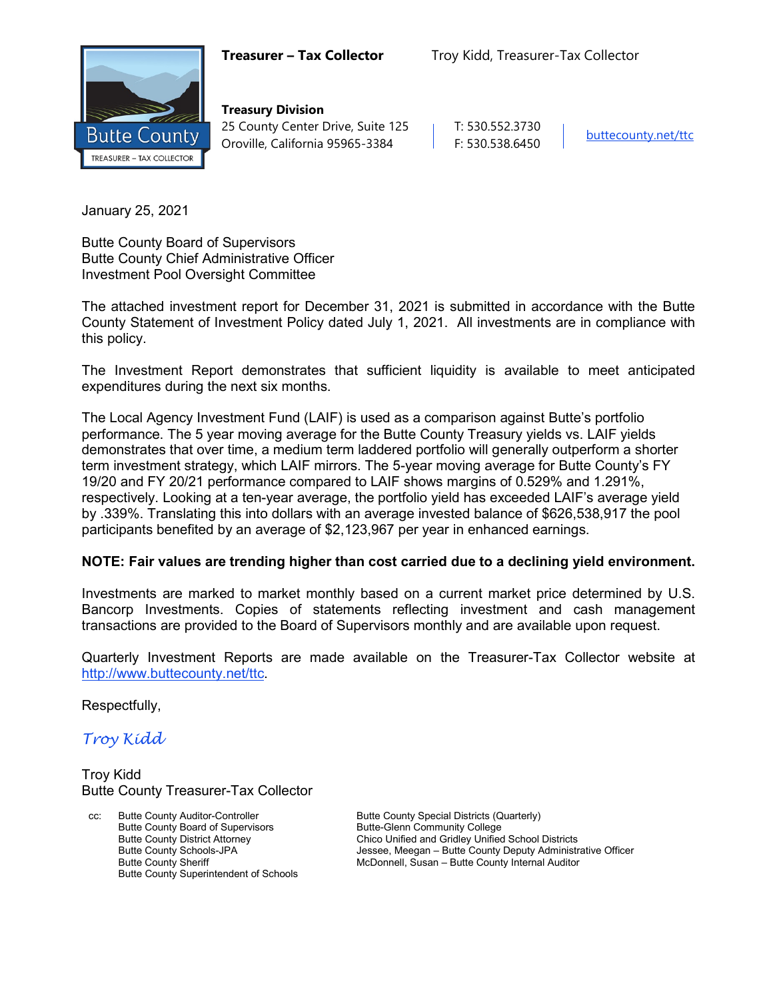

**Treasury Division** 25 County Center Drive, Suite 125 | T: 530.552.3730 Oroville, California 95965-3384 F: 530.538.6450

January 25, 2021

Butte County Board of Supervisors Butte County Chief Administrative Officer Investment Pool Oversight Committee

The attached investment report for December 31, 2021 is submitted in accordance with the Butte County Statement of Investment Policy dated July 1, 2021. All investments are in compliance with this policy.

The Investment Report demonstrates that sufficient liquidity is available to meet anticipated expenditures during the next six months.

The Local Agency Investment Fund (LAIF) is used as a comparison against Butte's portfolio performance. The 5 year moving average for the Butte County Treasury yields vs. LAIF yields demonstrates that over time, a medium term laddered portfolio will generally outperform a shorter term investment strategy, which LAIF mirrors. The 5-year moving average for Butte County's FY 19/20 and FY 20/21 performance compared to LAIF shows margins of 0.529% and 1.291%, respectively. Looking at a ten-year average, the portfolio yield has exceeded LAIF's average yield by .339%. Translating this into dollars with an average invested balance of \$626,538,917 the pool participants benefited by an average of \$2,123,967 per year in enhanced earnings.

#### **NOTE: Fair values are trending higher than cost carried due to a declining yield environment.**

Investments are marked to market monthly based on a current market price determined by U.S. Bancorp Investments. Copies of statements reflecting investment and cash management transactions are provided to the Board of Supervisors monthly and are available upon request.

Quarterly Investment Reports are made available on the Treasurer-Tax Collector website at <http://www.buttecounty.net/ttc>.

Respectfully,

*Troy Kidd*

Troy Kidd Butte County Treasurer-Tax Collector

Butte County Auditor-Controller **Butte County Special Districts (Quarterly)** Butte County Special Districts (Quarterly) Butte County Board of Supervisors<br>
Butte County District Attorney<br>
Chico Unified and Gridley Unified Butte County Superintendent of Schools

Butte County District Attorney Chico Unified and Gridley Unified School Districts<br>Butte County Schools-JPA Schools and County Deputy Administr Butte County Schools-JPA **Jessee, Meegan – Butte County Deputy Administrative Officer**<br>Butte County Sheriff **Julie 2006** McDonnell, Susan – Butte County Internal Auditor McDonnell, Susan – Butte County Internal Auditor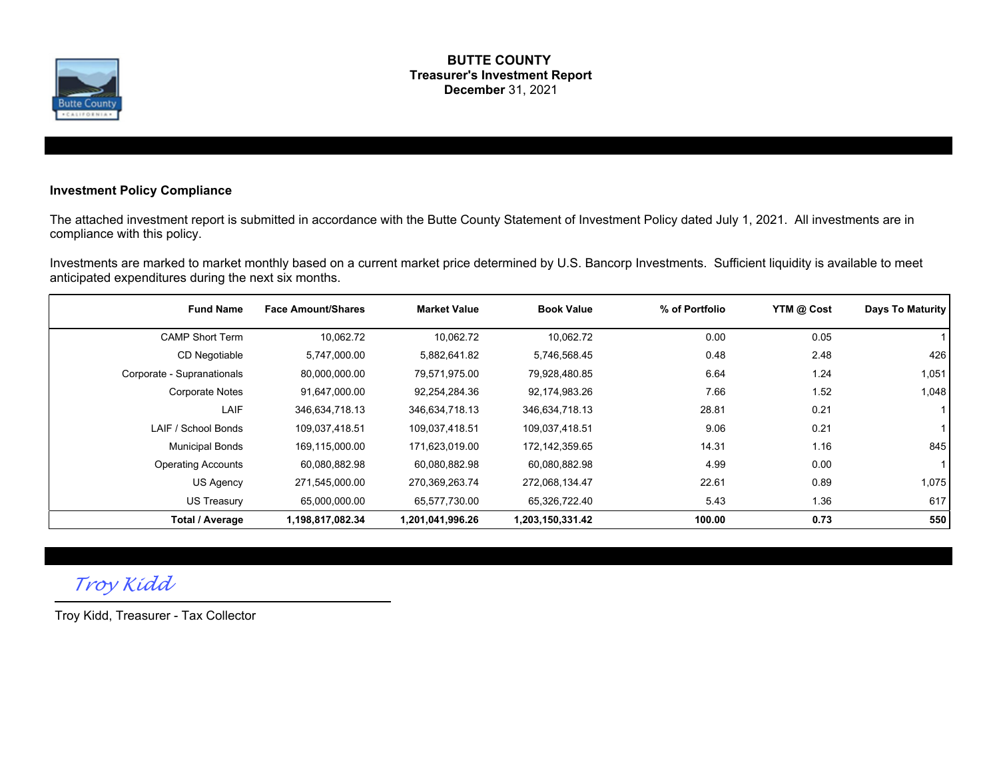

#### **BUTTE COUNTY Treasurer's Investment Report December** 31, 2021

#### **Investment Policy Compliance**

The attached investment report is submitted in accordance with the Butte County Statement of Investment Policy dated July 1, 2021. All investments are in compliance with this policy.

Investments are marked to market monthly based on a current market price determined by U.S. Bancorp Investments. Sufficient liquidity is available to meet anticipated expenditures during the next six months.

| <b>Fund Name</b>           | <b>Face Amount/Shares</b> | <b>Market Value</b> | <b>Book Value</b> | % of Portfolio | YTM @ Cost | Days To Maturity |
|----------------------------|---------------------------|---------------------|-------------------|----------------|------------|------------------|
| <b>CAMP Short Term</b>     | 10,062.72                 | 10,062.72           | 10.062.72         | 0.00           | 0.05       |                  |
| CD Negotiable              | 5,747,000.00              | 5,882,641.82        | 5,746,568.45      | 0.48           | 2.48       | 426              |
| Corporate - Supranationals | 80,000,000.00             | 79,571,975.00       | 79,928,480.85     | 6.64           | 1.24       | 1,051            |
| <b>Corporate Notes</b>     | 91,647,000.00             | 92,254,284.36       | 92,174,983.26     | 7.66           | 1.52       | 1,048            |
| LAIF                       | 346,634,718.13            | 346,634,718.13      | 346,634,718.13    | 28.81          | 0.21       |                  |
| LAIF / School Bonds        | 109,037,418.51            | 109,037,418.51      | 109,037,418.51    | 9.06           | 0.21       |                  |
| <b>Municipal Bonds</b>     | 169,115,000.00            | 171,623,019.00      | 172,142,359.65    | 14.31          | 1.16       | 845              |
| <b>Operating Accounts</b>  | 60,080,882.98             | 60,080,882.98       | 60,080,882.98     | 4.99           | 0.00       |                  |
| US Agency                  | 271,545,000.00            | 270,369,263.74      | 272,068,134.47    | 22.61          | 0.89       | 1,075            |
| US Treasury                | 65,000,000.00             | 65,577,730.00       | 65,326,722.40     | 5.43           | 1.36       | 617              |
| <b>Total / Average</b>     | 1,198,817,082.34          | 1,201,041,996.26    | 1,203,150,331.42  | 100.00         | 0.73       | 550              |

# *Troy Kidd*

Troy Kidd, Treasurer - Tax Collector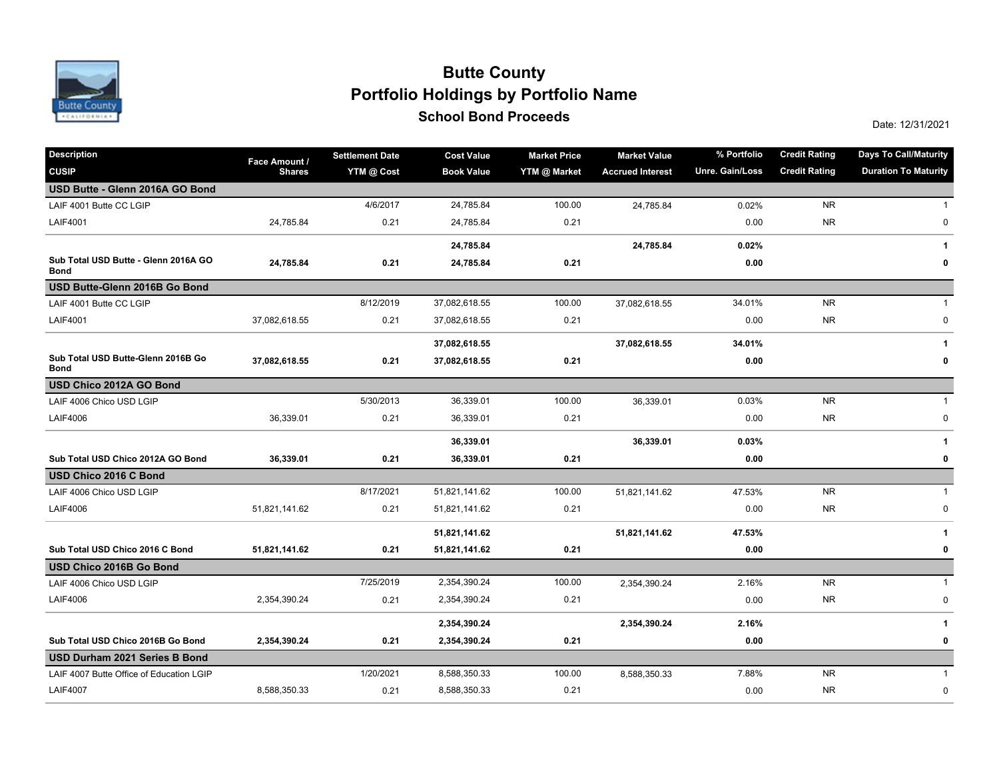

## **School Bond Proceeds School Bond Proceeds School Bond Proceeds Portfolio Holdings by Portfolio Name Butte County**

| <b>Description</b>                                  | Face Amount / | <b>Settlement Date</b> | <b>Cost Value</b> | <b>Market Price</b> | <b>Market Value</b>     | % Portfolio     | <b>Credit Rating</b> | <b>Days To Call/Maturity</b> |
|-----------------------------------------------------|---------------|------------------------|-------------------|---------------------|-------------------------|-----------------|----------------------|------------------------------|
| <b>CUSIP</b>                                        | <b>Shares</b> | YTM @ Cost             | <b>Book Value</b> | YTM @ Market        | <b>Accrued Interest</b> | Unre. Gain/Loss | <b>Credit Rating</b> | <b>Duration To Maturity</b>  |
| USD Butte - Glenn 2016A GO Bond                     |               |                        |                   |                     |                         |                 |                      |                              |
| LAIF 4001 Butte CC LGIP                             |               | 4/6/2017               | 24,785.84         | 100.00              | 24,785.84               | 0.02%           | <b>NR</b>            | $\mathbf{1}$                 |
| <b>LAIF4001</b>                                     | 24,785.84     | 0.21                   | 24,785.84         | 0.21                |                         | 0.00            | <b>NR</b>            | 0                            |
|                                                     |               |                        | 24,785.84         |                     | 24,785.84               | 0.02%           |                      | 1                            |
| Sub Total USD Butte - Glenn 2016A GO<br><b>Bond</b> | 24,785.84     | 0.21                   | 24,785.84         | 0.21                |                         | 0.00            |                      | 0                            |
| USD Butte-Glenn 2016B Go Bond                       |               |                        |                   |                     |                         |                 |                      |                              |
| LAIF 4001 Butte CC LGIP                             |               | 8/12/2019              | 37,082,618.55     | 100.00              | 37,082,618.55           | 34.01%          | <b>NR</b>            | $\mathbf{1}$                 |
| <b>LAIF4001</b>                                     | 37,082,618.55 | 0.21                   | 37,082,618.55     | 0.21                |                         | 0.00            | <b>NR</b>            | $\pmb{0}$                    |
|                                                     |               |                        | 37,082,618.55     |                     | 37,082,618.55           | 34.01%          |                      | 1                            |
| Sub Total USD Butte-Glenn 2016B Go<br><b>Bond</b>   | 37,082,618.55 | 0.21                   | 37,082,618.55     | 0.21                |                         | 0.00            |                      | 0                            |
| USD Chico 2012A GO Bond                             |               |                        |                   |                     |                         |                 |                      |                              |
| LAIF 4006 Chico USD LGIP                            |               | 5/30/2013              | 36,339.01         | 100.00              | 36,339.01               | 0.03%           | <b>NR</b>            | $\mathbf{1}$                 |
| <b>LAIF4006</b>                                     | 36,339.01     | 0.21                   | 36,339.01         | 0.21                |                         | 0.00            | <b>NR</b>            | $\pmb{0}$                    |
|                                                     |               |                        | 36,339.01         |                     | 36,339.01               | 0.03%           |                      | $\mathbf{1}$                 |
| Sub Total USD Chico 2012A GO Bond                   | 36,339.01     | 0.21                   | 36,339.01         | 0.21                |                         | 0.00            |                      | 0                            |
| USD Chico 2016 C Bond                               |               |                        |                   |                     |                         |                 |                      |                              |
| LAIF 4006 Chico USD LGIP                            |               | 8/17/2021              | 51,821,141.62     | 100.00              | 51,821,141.62           | 47.53%          | <b>NR</b>            | $\mathbf{1}$                 |
| <b>LAIF4006</b>                                     | 51,821,141.62 | 0.21                   | 51,821,141.62     | 0.21                |                         | 0.00            | <b>NR</b>            | $\pmb{0}$                    |
|                                                     |               |                        | 51,821,141.62     |                     | 51,821,141.62           | 47.53%          |                      | 1                            |
| Sub Total USD Chico 2016 C Bond                     | 51,821,141.62 | 0.21                   | 51,821,141.62     | 0.21                |                         | 0.00            |                      | $\mathbf 0$                  |
| USD Chico 2016B Go Bond                             |               |                        |                   |                     |                         |                 |                      |                              |
| LAIF 4006 Chico USD LGIP                            |               | 7/25/2019              | 2,354,390.24      | 100.00              | 2,354,390.24            | 2.16%           | <b>NR</b>            | $\mathbf{1}$                 |
| <b>LAIF4006</b>                                     | 2,354,390.24  | 0.21                   | 2,354,390.24      | 0.21                |                         | 0.00            | <b>NR</b>            | $\mathbf 0$                  |
|                                                     |               |                        | 2,354,390.24      |                     | 2,354,390.24            | 2.16%           |                      | 1                            |
| Sub Total USD Chico 2016B Go Bond                   | 2,354,390.24  | 0.21                   | 2,354,390.24      | 0.21                |                         | 0.00            |                      | 0                            |
| USD Durham 2021 Series B Bond                       |               |                        |                   |                     |                         |                 |                      |                              |
| LAIF 4007 Butte Office of Education LGIP            |               | 1/20/2021              | 8,588,350.33      | 100.00              | 8,588,350.33            | 7.88%           | <b>NR</b>            | $\mathbf{1}$                 |
| <b>LAIF4007</b>                                     | 8,588,350.33  | 0.21                   | 8,588,350.33      | 0.21                |                         | 0.00            | <b>NR</b>            | $\mathsf 0$                  |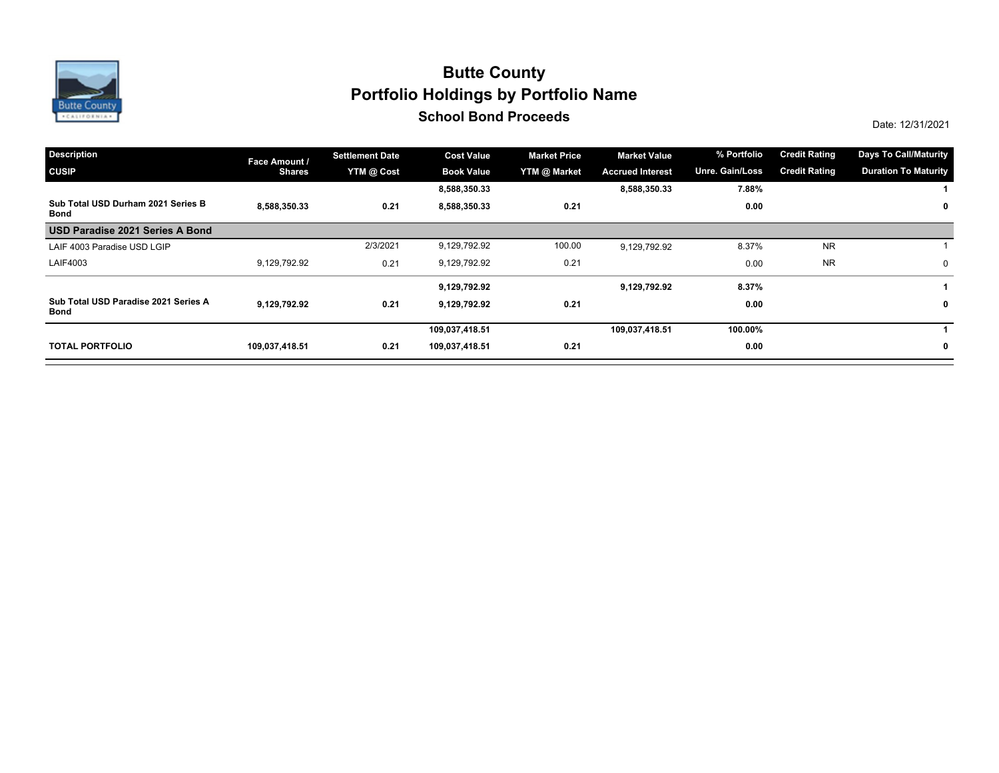

## **School Bond Proceeds School Bond Proceeds School Bond Proceeds School Bond Proceeds Portfolio Holdings by Portfolio Name Butte County**

| <b>Description</b>                           | Face Amount /  | <b>Settlement Date</b> | <b>Cost Value</b> | <b>Market Price</b> | <b>Market Value</b>     | % Portfolio     | <b>Credit Rating</b> | <b>Days To Call/Maturity</b> |
|----------------------------------------------|----------------|------------------------|-------------------|---------------------|-------------------------|-----------------|----------------------|------------------------------|
| <b>CUSIP</b>                                 | <b>Shares</b>  | YTM @ Cost             | <b>Book Value</b> | YTM @ Market        | <b>Accrued Interest</b> | Unre. Gain/Loss | <b>Credit Rating</b> | <b>Duration To Maturity</b>  |
|                                              |                |                        | 8,588,350.33      |                     | 8,588,350.33            | 7.88%           |                      |                              |
| Sub Total USD Durham 2021 Series B<br>Bond   | 8,588,350.33   | 0.21                   | 8,588,350.33      | 0.21                |                         | 0.00            |                      | $\mathbf 0$                  |
| USD Paradise 2021 Series A Bond              |                |                        |                   |                     |                         |                 |                      |                              |
| LAIF 4003 Paradise USD LGIP                  |                | 2/3/2021               | 9,129,792.92      | 100.00              | 9,129,792.92            | 8.37%           | <b>NR</b>            |                              |
| LAIF4003                                     | 9,129,792.92   | 0.21                   | 9,129,792.92      | 0.21                |                         | 0.00            | <b>NR</b>            | 0                            |
|                                              |                |                        | 9,129,792.92      |                     | 9,129,792.92            | 8.37%           |                      |                              |
| Sub Total USD Paradise 2021 Series A<br>Bond | 9.129.792.92   | 0.21                   | 9,129,792.92      | 0.21                |                         | 0.00            |                      | 0                            |
|                                              |                |                        | 109,037,418.51    |                     | 109,037,418.51          | 100.00%         |                      |                              |
| <b>TOTAL PORTFOLIO</b>                       | 109,037,418.51 | 0.21                   | 109,037,418.51    | 0.21                |                         | 0.00            |                      | $\mathbf 0$                  |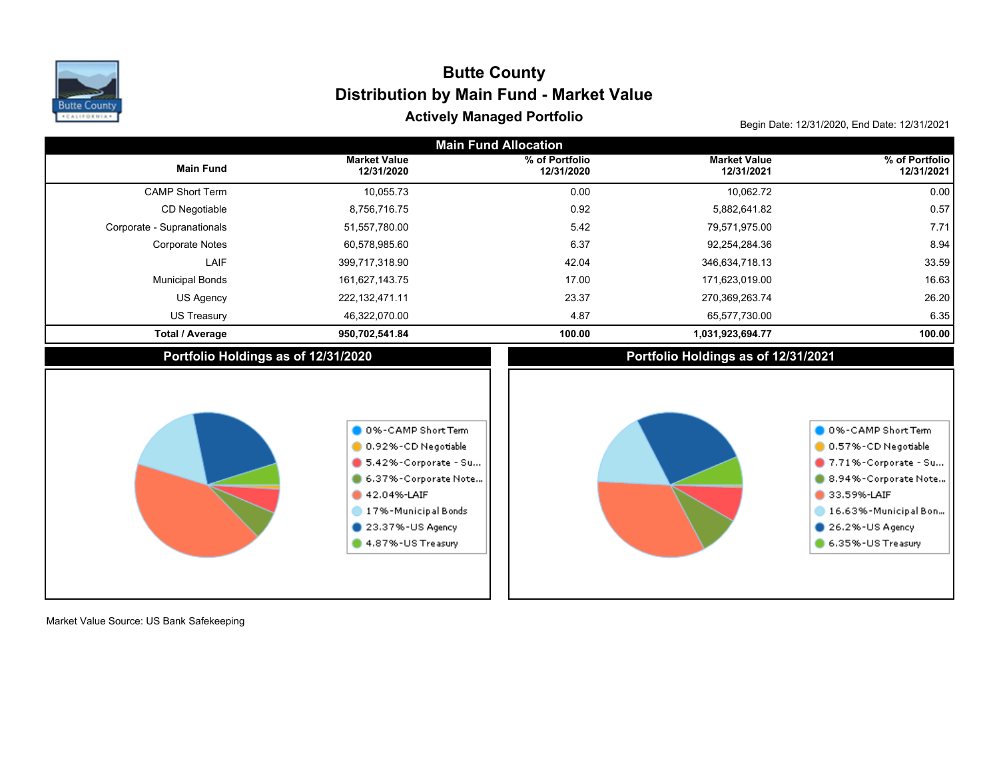

# Actively Managed Portfolio<br>Begin Date: 12/31/2020, End Date: 12/31/2021 **Distribution by Main Fund - Market Value Butte County**

| <b>Main Fund Allocation</b>         |                                                                                                                                                                                      |                              |                                     |                                                                                                                                                                            |  |  |  |  |  |
|-------------------------------------|--------------------------------------------------------------------------------------------------------------------------------------------------------------------------------------|------------------------------|-------------------------------------|----------------------------------------------------------------------------------------------------------------------------------------------------------------------------|--|--|--|--|--|
| <b>Main Fund</b>                    | <b>Market Value</b><br>12/31/2020                                                                                                                                                    | % of Portfolio<br>12/31/2020 | <b>Market Value</b><br>12/31/2021   | % of Portfolio<br>12/31/2021                                                                                                                                               |  |  |  |  |  |
| <b>CAMP Short Term</b>              | 10,055.73                                                                                                                                                                            | 0.00                         | 10,062.72                           | 0.00                                                                                                                                                                       |  |  |  |  |  |
| CD Negotiable                       | 8,756,716.75                                                                                                                                                                         | 0.92                         | 5,882,641.82                        | 0.57                                                                                                                                                                       |  |  |  |  |  |
| Corporate - Supranationals          | 51,557,780.00                                                                                                                                                                        | 5.42                         | 79,571,975.00                       | 7.71                                                                                                                                                                       |  |  |  |  |  |
| <b>Corporate Notes</b>              | 60,578,985.60                                                                                                                                                                        | 6.37                         | 92,254,284.36                       | 8.94                                                                                                                                                                       |  |  |  |  |  |
| LAIF                                | 399,717,318.90                                                                                                                                                                       | 42.04                        | 346,634,718.13                      | 33.59                                                                                                                                                                      |  |  |  |  |  |
| <b>Municipal Bonds</b>              | 161,627,143.75                                                                                                                                                                       | 17.00                        | 171,623,019.00                      | 16.63                                                                                                                                                                      |  |  |  |  |  |
| <b>US Agency</b>                    | 222, 132, 471.11                                                                                                                                                                     | 23.37                        | 270,369,263.74                      | 26.20                                                                                                                                                                      |  |  |  |  |  |
| <b>US Treasury</b>                  | 46,322,070.00                                                                                                                                                                        | 4.87                         | 65,577,730.00                       | 6.35                                                                                                                                                                       |  |  |  |  |  |
| <b>Total / Average</b>              | 950,702,541.84                                                                                                                                                                       | 100.00                       | 1,031,923,694.77                    | 100.00                                                                                                                                                                     |  |  |  |  |  |
| Portfolio Holdings as of 12/31/2020 |                                                                                                                                                                                      |                              | Portfolio Holdings as of 12/31/2021 |                                                                                                                                                                            |  |  |  |  |  |
|                                     | 0 0%-CAMP Short Term<br>0.92%-CD Negotiable<br>$\bullet$ 5.42%-Corporate - Su<br>6.37%-Corporate Note<br>42.04%-LAIF<br>17%-Municipal Bonds<br>23.37%-US Agency<br>4.87%-US Treasury |                              |                                     | 0 0%-CAMP Short Term<br>0.57%-CD Negotiable<br>7.71%-Corporate - Su<br>8.94%-Corporate Note<br>33.59%-LAIF<br>16.63%-Municipal Bon<br>26.2%-US Agency<br>6.35%-US Treasury |  |  |  |  |  |

Market Value Source: US Bank Safekeeping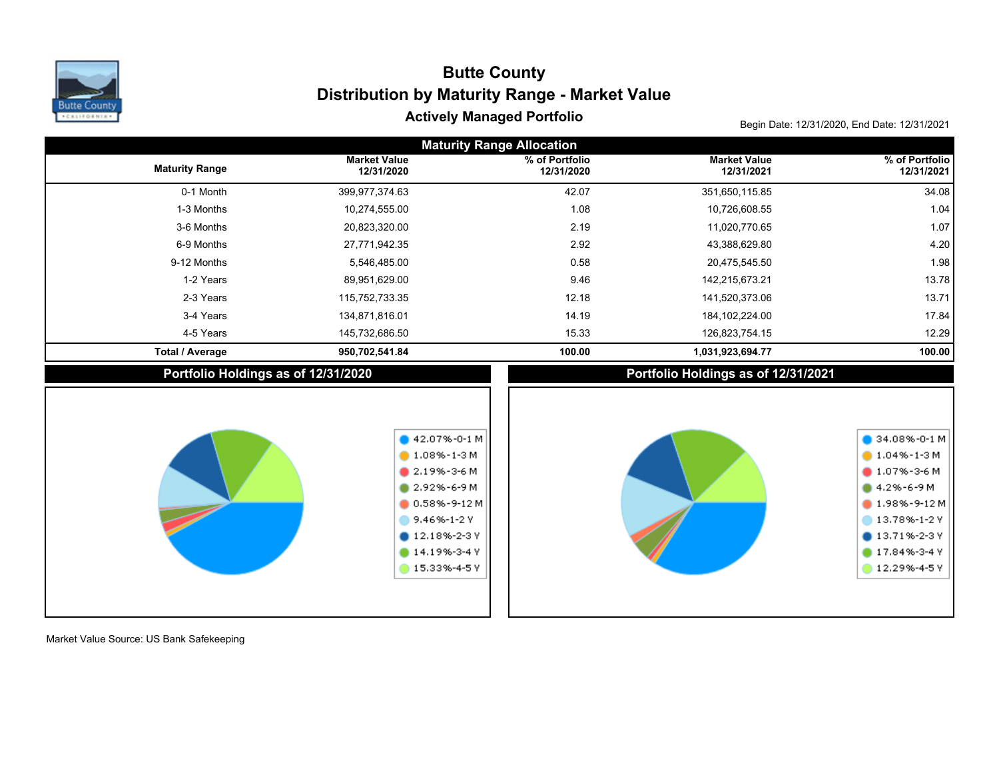

# Actively Managed Portfolio<br>Begin Date: 12/31/2020, End Date: 12/31/2021 **Distribution by Maturity Range - Market Value Butte County**

| <b>Maturity Range Allocation</b>    |                                                                                                                                                                                  |                              |                                     |                                                                                                                                                   |  |  |  |  |  |  |
|-------------------------------------|----------------------------------------------------------------------------------------------------------------------------------------------------------------------------------|------------------------------|-------------------------------------|---------------------------------------------------------------------------------------------------------------------------------------------------|--|--|--|--|--|--|
| <b>Maturity Range</b>               | <b>Market Value</b><br>12/31/2020                                                                                                                                                | % of Portfolio<br>12/31/2020 | <b>Market Value</b><br>12/31/2021   | % of Portfolio<br>12/31/2021                                                                                                                      |  |  |  |  |  |  |
| 0-1 Month                           | 399,977,374.63                                                                                                                                                                   | 42.07                        | 351,650,115.85                      | 34.08                                                                                                                                             |  |  |  |  |  |  |
| 1-3 Months                          | 10,274,555.00                                                                                                                                                                    | 1.08                         | 10,726,608.55                       | 1.04                                                                                                                                              |  |  |  |  |  |  |
| 3-6 Months                          | 20,823,320.00                                                                                                                                                                    | 2.19                         | 11,020,770.65                       | 1.07                                                                                                                                              |  |  |  |  |  |  |
| 6-9 Months                          | 27,771,942.35                                                                                                                                                                    | 2.92                         | 43,388,629.80                       | 4.20                                                                                                                                              |  |  |  |  |  |  |
| 9-12 Months                         | 5,546,485.00                                                                                                                                                                     | 0.58                         | 20,475,545.50                       | 1.98                                                                                                                                              |  |  |  |  |  |  |
| 1-2 Years                           | 89,951,629.00                                                                                                                                                                    | 9.46                         | 142,215,673.21                      | 13.78                                                                                                                                             |  |  |  |  |  |  |
| 2-3 Years                           | 115,752,733.35                                                                                                                                                                   | 12.18                        | 141,520,373.06                      | 13.71                                                                                                                                             |  |  |  |  |  |  |
| 3-4 Years                           | 134,871,816.01                                                                                                                                                                   | 14.19                        | 184, 102, 224.00                    | 17.84                                                                                                                                             |  |  |  |  |  |  |
| 4-5 Years                           | 145,732,686.50                                                                                                                                                                   | 15.33                        | 126,823,754.15                      | 12.29                                                                                                                                             |  |  |  |  |  |  |
| <b>Total / Average</b>              | 950,702,541.84                                                                                                                                                                   | 100.00                       | 1,031,923,694.77                    | 100.00                                                                                                                                            |  |  |  |  |  |  |
| Portfolio Holdings as of 12/31/2020 |                                                                                                                                                                                  |                              | Portfolio Holdings as of 12/31/2021 |                                                                                                                                                   |  |  |  |  |  |  |
|                                     | $\bullet$ 42.07%-0-1 M<br>$1.08\% - 1 - 3$ M<br>$2.19\% - 3 - 6$ M<br>2.92%-6-9M<br>$0.58\% - 9 - 12M$<br>9.46%-1-2 Y<br>$12.18\% - 2 - 3$ Y<br>$14.19% - 3 - 4V$<br>15.33%-4-5Y |                              |                                     | 34.08%-0-1 M<br>$1.04\% - 1-3M$<br>1.07%-3-6M<br>4.2%-6-9 M<br>1.98%-9-12M<br>13.78%-1-2 Y<br>$013.71\% - 2 - 3$ Y<br>17.84%-3-4 Y<br>12.29%-4-5Y |  |  |  |  |  |  |

Market Value Source: US Bank Safekeeping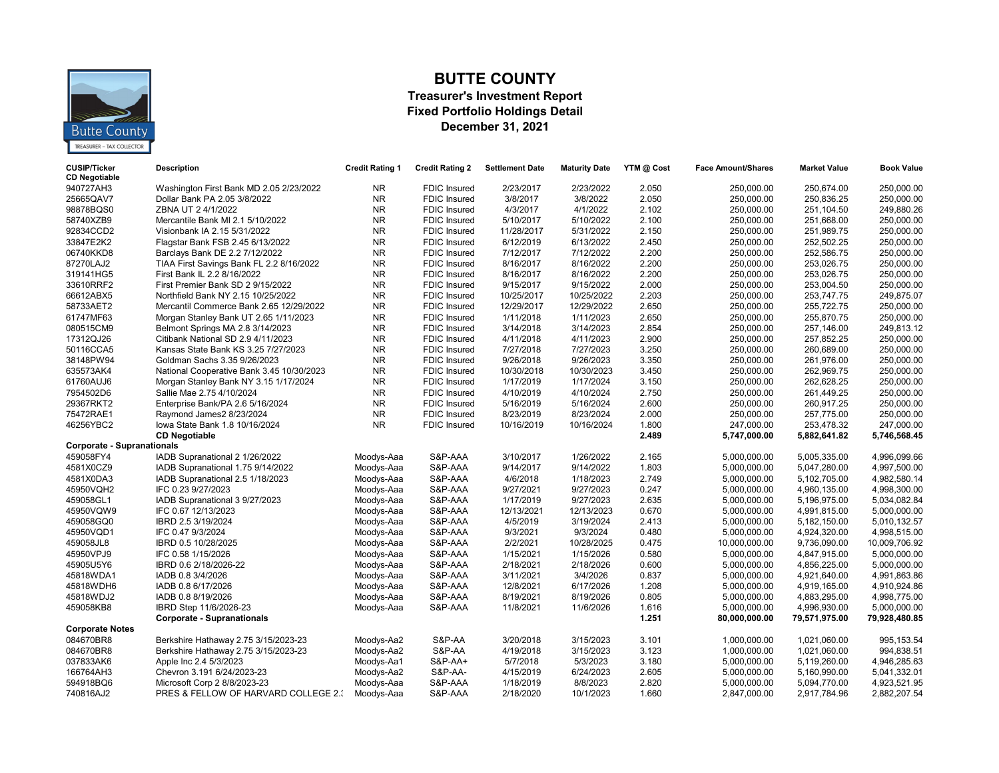

### **BUTTE COUNTY**

#### **Treasurer's Investment Report Fixed Portfolio Holdings Detail December 31, 2021**

| <b>CUSIP/Ticker</b><br><b>CD Negotiable</b> | <b>Description</b>                        | <b>Credit Rating 1</b> | <b>Credit Rating 2</b> | <b>Settlement Date</b> | <b>Maturity Date</b> | YTM @ Cost | <b>Face Amount/Shares</b> | <b>Market Value</b> | <b>Book Value</b> |
|---------------------------------------------|-------------------------------------------|------------------------|------------------------|------------------------|----------------------|------------|---------------------------|---------------------|-------------------|
| 940727AH3                                   | Washington First Bank MD 2.05 2/23/2022   | <b>NR</b>              | <b>FDIC Insured</b>    | 2/23/2017              | 2/23/2022            | 2.050      | 250,000.00                | 250,674.00          | 250,000.00        |
| 25665QAV7                                   | Dollar Bank PA 2.05 3/8/2022              | <b>NR</b>              | <b>FDIC Insured</b>    | 3/8/2017               | 3/8/2022             | 2.050      | 250,000.00                | 250,836.25          | 250,000.00        |
| 98878BQS0                                   | ZBNA UT 2 4/1/2022                        | <b>NR</b>              | <b>FDIC Insured</b>    | 4/3/2017               | 4/1/2022             | 2.102      | 250,000.00                | 251,104.50          | 249,880.26        |
| 58740XZB9                                   | Mercantile Bank MI 2.1 5/10/2022          | <b>NR</b>              | <b>FDIC Insured</b>    | 5/10/2017              | 5/10/2022            | 2.100      | 250,000.00                | 251,668.00          | 250,000.00        |
| 92834CCD2                                   | Visionbank IA 2.15 5/31/2022              | <b>NR</b>              | <b>FDIC Insured</b>    | 11/28/2017             | 5/31/2022            | 2.150      | 250,000.00                | 251,989.75          | 250,000.00        |
| 33847E2K2                                   | Flagstar Bank FSB 2.45 6/13/2022          | <b>NR</b>              | <b>FDIC Insured</b>    | 6/12/2019              | 6/13/2022            | 2.450      | 250,000.00                | 252,502.25          | 250,000.00        |
| 06740KKD8                                   | Barclays Bank DE 2.2 7/12/2022            | <b>NR</b>              | <b>FDIC Insured</b>    | 7/12/2017              | 7/12/2022            | 2.200      | 250,000.00                | 252,586.75          | 250,000.00        |
| 87270LAJ2                                   | TIAA First Savings Bank FL 2.2 8/16/2022  | <b>NR</b>              | <b>FDIC Insured</b>    | 8/16/2017              | 8/16/2022            | 2.200      | 250,000.00                | 253,026.75          | 250.000.00        |
| 319141HG5                                   | First Bank IL 2.2 8/16/2022               | <b>NR</b>              | <b>FDIC Insured</b>    | 8/16/2017              | 8/16/2022            | 2.200      | 250,000.00                | 253,026.75          | 250,000.00        |
| 33610RRF2                                   | First Premier Bank SD 2 9/15/2022         | <b>NR</b>              | <b>FDIC Insured</b>    | 9/15/2017              | 9/15/2022            | 2.000      | 250,000.00                | 253,004.50          | 250,000.00        |
| 66612ABX5                                   | Northfield Bank NY 2.15 10/25/2022        | <b>NR</b>              | <b>FDIC Insured</b>    | 10/25/2017             | 10/25/2022           | 2.203      | 250,000.00                | 253,747.75          | 249,875.07        |
| 58733AET2                                   | Mercantil Commerce Bank 2.65 12/29/2022   | <b>NR</b>              | <b>FDIC Insured</b>    | 12/29/2017             | 12/29/2022           | 2.650      | 250,000.00                | 255,722.75          | 250,000.00        |
| 61747MF63                                   | Morgan Stanley Bank UT 2.65 1/11/2023     | <b>NR</b>              | <b>FDIC Insured</b>    | 1/11/2018              | 1/11/2023            | 2.650      | 250,000.00                | 255,870.75          | 250,000.00        |
| 080515CM9                                   | Belmont Springs MA 2.8 3/14/2023          | <b>NR</b>              | <b>FDIC Insured</b>    | 3/14/2018              | 3/14/2023            | 2.854      | 250,000.00                | 257,146.00          | 249,813.12        |
| 17312QJ26                                   | Citibank National SD 2.9 4/11/2023        | <b>NR</b>              | <b>FDIC Insured</b>    | 4/11/2018              | 4/11/2023            | 2.900      | 250,000.00                | 257,852.25          | 250,000.00        |
| 50116CCA5                                   | Kansas State Bank KS 3.25 7/27/2023       | <b>NR</b>              | FDIC Insured           | 7/27/2018              | 7/27/2023            | 3.250      | 250,000.00                | 260,689.00          | 250,000.00        |
| 38148PW94                                   | Goldman Sachs 3.35 9/26/2023              | <b>NR</b>              | FDIC Insured           | 9/26/2018              | 9/26/2023            | 3.350      | 250,000.00                | 261,976.00          | 250,000.00        |
| 635573AK4                                   | National Cooperative Bank 3.45 10/30/2023 | <b>NR</b>              | <b>FDIC Insured</b>    | 10/30/2018             | 10/30/2023           | 3.450      | 250,000.00                | 262,969.75          | 250,000.00        |
| 61760AUJ6                                   | Morgan Stanley Bank NY 3.15 1/17/2024     | <b>NR</b>              | <b>FDIC Insured</b>    | 1/17/2019              | 1/17/2024            | 3.150      | 250,000.00                | 262,628.25          | 250,000.00        |
| 7954502D6                                   | Sallie Mae 2.75 4/10/2024                 | <b>NR</b>              | <b>FDIC Insured</b>    | 4/10/2019              | 4/10/2024            | 2.750      | 250,000.00                | 261,449.25          | 250,000.00        |
| 29367RKT2                                   | Enterprise Bank/PA 2.6 5/16/2024          | <b>NR</b>              | <b>FDIC Insured</b>    | 5/16/2019              | 5/16/2024            | 2.600      | 250,000.00                | 260,917.25          | 250,000.00        |
| 75472RAE1                                   | Raymond James2 8/23/2024                  | <b>NR</b>              | <b>FDIC Insured</b>    | 8/23/2019              | 8/23/2024            | 2.000      | 250,000.00                | 257,775.00          | 250,000.00        |
| 46256YBC2                                   | lowa State Bank 1.8 10/16/2024            | <b>NR</b>              | <b>FDIC Insured</b>    | 10/16/2019             | 10/16/2024           | 1.800      | 247,000.00                | 253,478.32          | 247,000.00        |
|                                             | <b>CD Negotiable</b>                      |                        |                        |                        |                      | 2.489      | 5,747,000.00              | 5,882,641.82        | 5,746,568.45      |
| <b>Corporate - Supranationals</b>           |                                           |                        |                        |                        |                      |            |                           |                     |                   |
| 459058FY4                                   | IADB Supranational 2 1/26/2022            | Moodys-Aaa             | S&P-AAA                | 3/10/2017              | 1/26/2022            | 2.165      | 5,000,000.00              | 5,005,335.00        | 4,996,099.66      |
| 4581X0CZ9                                   | IADB Supranational 1.75 9/14/2022         | Moodys-Aaa             | S&P-AAA                | 9/14/2017              | 9/14/2022            | 1.803      | 5,000,000.00              | 5,047,280.00        | 4,997,500.00      |
| 4581X0DA3                                   | IADB Supranational 2.5 1/18/2023          | Moodys-Aaa             | S&P-AAA                | 4/6/2018               | 1/18/2023            | 2.749      | 5,000,000.00              | 5,102,705.00        | 4,982,580.14      |
| 45950VQH2                                   | IFC 0.23 9/27/2023                        | Moodys-Aaa             | S&P-AAA                | 9/27/2021              | 9/27/2023            | 0.247      | 5,000,000.00              | 4,960,135.00        | 4,998,300.00      |
| 459058GL1                                   | IADB Supranational 3 9/27/2023            | Moodys-Aaa             | S&P-AAA                | 1/17/2019              | 9/27/2023            | 2.635      | 5,000,000.00              | 5,196,975.00        | 5,034,082.84      |
| 45950VQW9                                   | IFC 0.67 12/13/2023                       | Moodys-Aaa             | S&P-AAA                | 12/13/2021             | 12/13/2023           | 0.670      | 5,000,000.00              | 4,991,815.00        | 5,000,000.00      |
| 459058GQ0                                   | IBRD 2.5 3/19/2024                        | Moodys-Aaa             | S&P-AAA                | 4/5/2019               | 3/19/2024            | 2.413      | 5,000,000.00              | 5,182,150.00        | 5,010,132.57      |
| 45950VQD1                                   | IFC 0.47 9/3/2024                         | Moodys-Aaa             | S&P-AAA                | 9/3/2021               | 9/3/2024             | 0.480      | 5,000,000.00              | 4,924,320.00        | 4,998,515.00      |
| 459058JL8                                   | IBRD 0.5 10/28/2025                       | Moodys-Aaa             | S&P-AAA                | 2/2/2021               | 10/28/2025           | 0.475      | 10,000,000.00             | 9,736,090.00        | 10,009,706.92     |
| 45950VPJ9                                   | IFC 0.58 1/15/2026                        | Moodys-Aaa             | S&P-AAA                | 1/15/2021              | 1/15/2026            | 0.580      | 5,000,000.00              | 4,847,915.00        | 5,000,000.00      |
| 45905U5Y6                                   | IBRD 0.6 2/18/2026-22                     | Moodys-Aaa             | S&P-AAA                | 2/18/2021              | 2/18/2026            | 0.600      | 5,000,000.00              | 4,856,225.00        | 5,000,000.00      |
| 45818WDA1                                   | IADB 0.8 3/4/2026                         | Moodys-Aaa             | S&P-AAA                | 3/11/2021              | 3/4/2026             | 0.837      | 5,000,000.00              | 4,921,640.00        | 4,991,863.86      |
| 45818WDH6                                   | IADB 0.8 6/17/2026                        | Moodys-Aaa             | S&P-AAA                | 12/8/2021              | 6/17/2026            | 1.208      | 5,000,000.00              | 4,919,165.00        | 4,910,924.86      |
| 45818WDJ2                                   | IADB 0.8 8/19/2026                        | Moodys-Aaa             | S&P-AAA                | 8/19/2021              | 8/19/2026            | 0.805      | 5,000,000.00              | 4,883,295.00        | 4,998,775.00      |
| 459058KB8                                   | IBRD Step 11/6/2026-23                    | Moodys-Aaa             | S&P-AAA                | 11/8/2021              | 11/6/2026            | 1.616      | 5,000,000.00              | 4,996,930.00        | 5,000,000.00      |
|                                             | <b>Corporate - Supranationals</b>         |                        |                        |                        |                      | 1.251      | 80,000,000.00             | 79,571,975.00       | 79,928,480.85     |
| <b>Corporate Notes</b>                      |                                           |                        |                        |                        |                      |            |                           |                     |                   |
| 084670BR8                                   | Berkshire Hathaway 2.75 3/15/2023-23      | Moodys-Aa2             | S&P-AA                 | 3/20/2018              | 3/15/2023            | 3.101      | 1,000,000.00              | 1,021,060.00        | 995, 153.54       |
| 084670BR8                                   | Berkshire Hathaway 2.75 3/15/2023-23      | Moodys-Aa2             | S&P-AA                 | 4/19/2018              | 3/15/2023            | 3.123      | 1,000,000.00              | 1,021,060.00        | 994,838.51        |
| 037833AK6                                   | Apple Inc 2.4 5/3/2023                    | Moodys-Aa1             | <b>S&amp;P-AA+</b>     | 5/7/2018               | 5/3/2023             | 3.180      | 5,000,000.00              | 5,119,260.00        | 4,946,285.63      |
| 166764AH3                                   | Chevron 3.191 6/24/2023-23                | Moodys-Aa2             | S&P-AA-                | 4/15/2019              | 6/24/2023            | 2.605      | 5,000,000.00              | 5,160,990.00        | 5,041,332.01      |
| 594918BQ6                                   | Microsoft Corp 2 8/8/2023-23              | Moodys-Aaa             | S&P-AAA                | 1/18/2019              | 8/8/2023             | 2.820      | 5,000,000.00              | 5,094,770.00        | 4,923,521.95      |
| 740816AJ2                                   | PRES & FELLOW OF HARVARD COLLEGE 2.3      | Moodys-Aaa             | S&P-AAA                | 2/18/2020              | 10/1/2023            | 1.660      | 2,847,000.00              | 2,917,784.96        | 2,882,207.54      |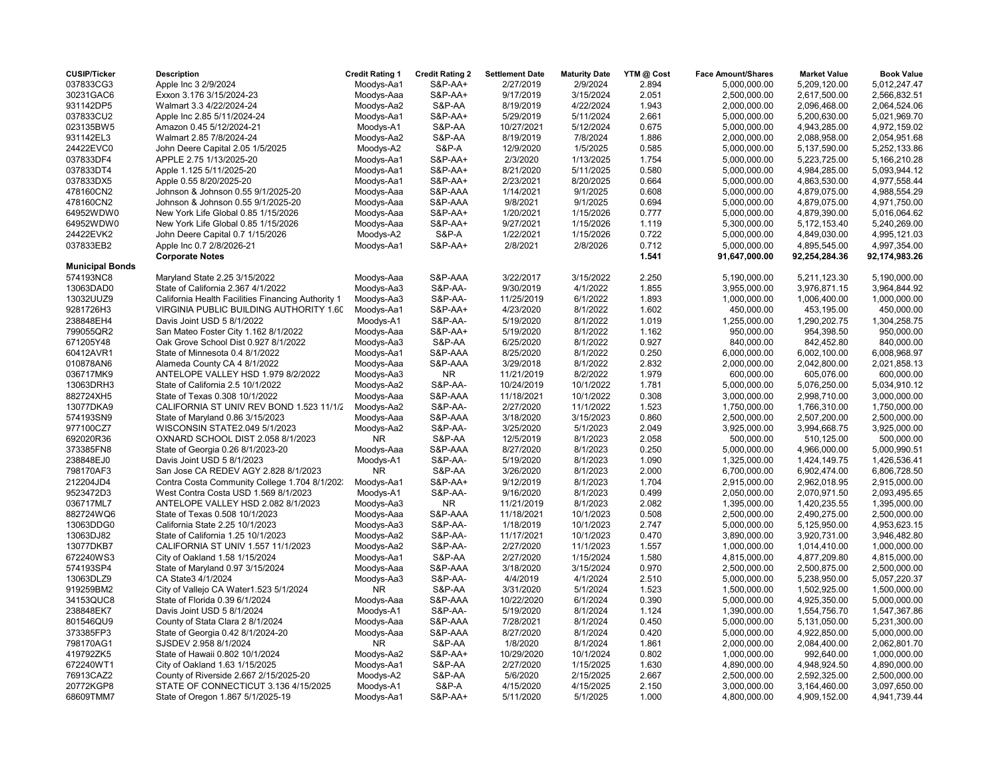| <b>CUSIP/Ticker</b>    | <b>Description</b>                                 | <b>Credit Rating 1</b> | <b>Credit Rating 2</b> | <b>Settlement Date</b> | <b>Maturity Date</b> | YTM @ Cost | <b>Face Amount/Shares</b> | <b>Market Value</b> | <b>Book Value</b> |
|------------------------|----------------------------------------------------|------------------------|------------------------|------------------------|----------------------|------------|---------------------------|---------------------|-------------------|
| 037833CG3              | Apple Inc 3 2/9/2024                               | Moodys-Aa1             | S&P-AA+                | 2/27/2019              | 2/9/2024             | 2.894      | 5,000,000.00              | 5,209,120.00        | 5,012,247.47      |
| 30231GAC6              | Exxon 3.176 3/15/2024-23                           | Moodys-Aaa             | <b>S&amp;P-AA+</b>     | 9/17/2019              | 3/15/2024            | 2.051      | 2,500,000.00              | 2,617,500.00        | 2,566,832.51      |
| 931142DP5              | Walmart 3.3 4/22/2024-24                           | Moodys-Aa2             | S&P-AA                 | 8/19/2019              | 4/22/2024            | 1.943      | 2,000,000.00              | 2,096,468.00        | 2,064,524.06      |
| 037833CU2              | Apple Inc 2.85 5/11/2024-24                        | Moodys-Aa1             | S&P-AA+                | 5/29/2019              | 5/11/2024            | 2.661      | 5,000,000.00              | 5,200,630.00        | 5,021,969.70      |
| 023135BW5              | Amazon 0.45 5/12/2024-21                           | Moodys-A1              | S&P-AA                 | 10/27/2021             | 5/12/2024            | 0.675      | 5,000,000.00              | 4,943,285.00        | 4,972,159.02      |
| 931142EL3              | Walmart 2.85 7/8/2024-24                           | Moodys-Aa2             | S&P-AA                 | 8/19/2019              | 7/8/2024             | 1.886      | 2,000,000.00              | 2,088,958.00        | 2,054,951.68      |
| 24422EVC0              | John Deere Capital 2.05 1/5/2025                   | Moodys-A2              | S&P-A                  | 12/9/2020              | 1/5/2025             | 0.585      | 5,000,000.00              | 5,137,590.00        | 5,252,133.86      |
| 037833DF4              | APPLE 2.75 1/13/2025-20                            | Moodys-Aa1             | <b>S&amp;P-AA+</b>     | 2/3/2020               | 1/13/2025            | 1.754      | 5,000,000.00              | 5,223,725.00        | 5,166,210.28      |
| 037833DT4              | Apple 1.125 5/11/2025-20                           | Moodys-Aa1             | <b>S&amp;P-AA+</b>     | 8/21/2020              | 5/11/2025            | 0.580      | 5,000,000.00              | 4,984,285.00        | 5,093,944.12      |
| 037833DX5              | Apple 0.55 8/20/2025-20                            | Moodys-Aa1             | <b>S&amp;P-AA+</b>     | 2/23/2021              | 8/20/2025            | 0.664      | 5,000,000.00              | 4,863,530.00        | 4,977,558.44      |
| 478160CN2              | Johnson & Johnson 0.55 9/1/2025-20                 | Moodys-Aaa             | S&P-AAA                | 1/14/2021              | 9/1/2025             | 0.608      | 5,000,000.00              | 4,879,075.00        | 4,988,554.29      |
| 478160CN2              | Johnson & Johnson 0.55 9/1/2025-20                 | Moodys-Aaa             | S&P-AAA                | 9/8/2021               | 9/1/2025             | 0.694      | 5,000,000.00              | 4,879,075.00        | 4,971,750.00      |
| 64952WDW0              | New York Life Global 0.85 1/15/2026                |                        | <b>S&amp;P-AA+</b>     |                        |                      |            |                           |                     |                   |
|                        |                                                    | Moodys-Aaa             |                        | 1/20/2021              | 1/15/2026            | 0.777      | 5,000,000.00              | 4,879,390.00        | 5,016,064.62      |
| 64952WDW0              | New York Life Global 0.85 1/15/2026                | Moodys-Aaa             | <b>S&amp;P-AA+</b>     | 9/27/2021              | 1/15/2026            | 1.119      | 5,300,000.00              | 5,172,153.40        | 5,240,269.00      |
| 24422EVK2              | John Deere Capital 0.7 1/15/2026                   | Moodys-A2              | <b>S&amp;P-A</b>       | 1/22/2021              | 1/15/2026            | 0.722      | 5,000,000.00              | 4,849,030.00        | 4,995,121.03      |
| 037833EB2              | Apple Inc 0.7 2/8/2026-21                          | Moodys-Aa1             | <b>S&amp;P-AA+</b>     | 2/8/2021               | 2/8/2026             | 0.712      | 5,000,000.00              | 4,895,545.00        | 4,997,354.00      |
|                        | <b>Corporate Notes</b>                             |                        |                        |                        |                      | 1.541      | 91,647,000.00             | 92,254,284.36       | 92,174,983.26     |
| <b>Municipal Bonds</b> |                                                    |                        |                        |                        |                      |            |                           |                     |                   |
| 574193NC8              | Maryland State 2.25 3/15/2022                      | Moodys-Aaa             | S&P-AAA                | 3/22/2017              | 3/15/2022            | 2.250      | 5,190,000.00              | 5,211,123.30        | 5,190,000.00      |
| 13063DAD0              | State of California 2.367 4/1/2022                 | Moodys-Aa3             | <b>S&amp;P-AA-</b>     | 9/30/2019              | 4/1/2022             | 1.855      | 3,955,000.00              | 3,976,871.15        | 3,964,844.92      |
| 13032UUZ9              | California Health Facilities Financing Authority 1 | Moodys-Aa3             | S&P-AA-                | 11/25/2019             | 6/1/2022             | 1.893      | 1,000,000.00              | 1,006,400.00        | 1,000,000.00      |
| 9281726H3              | VIRGINIA PUBLIC BUILDING AUTHORITY 1.60            | Moodys-Aa1             | <b>S&amp;P-AA+</b>     | 4/23/2020              | 8/1/2022             | 1.602      | 450,000.00                | 453,195.00          | 450,000.00        |
| 238848EH4              | Davis Joint USD 5 8/1/2022                         | Moodys-A1              | S&P-AA-                | 5/19/2020              | 8/1/2022             | 1.019      | 1,255,000.00              | 1,290,202.75        | 1,304,258.75      |
| 799055QR2              | San Mateo Foster City 1.162 8/1/2022               | Moodys-Aaa             | <b>S&amp;P-AA+</b>     | 5/19/2020              | 8/1/2022             | 1.162      | 950,000.00                | 954,398.50          | 950,000.00        |
| 671205Y48              | Oak Grove School Dist 0.927 8/1/2022               | Moodys-Aa3             | S&P-AA                 | 6/25/2020              | 8/1/2022             | 0.927      | 840,000.00                | 842,452.80          | 840,000.00        |
| 60412AVR1              | State of Minnesota 0.4 8/1/2022                    | Moodys-Aa1             | S&P-AAA                | 8/25/2020              | 8/1/2022             | 0.250      | 6,000,000.00              | 6,002,100.00        | 6,008,968.97      |
| 010878AN6              | Alameda County CA 4 8/1/2022                       | Moodys-Aaa             | S&P-AAA                | 3/29/2018              | 8/1/2022             | 2.832      | 2,000,000.00              | 2,042,800.00        | 2,021,858.13      |
| 036717MK9              | ANTELOPE VALLEY HSD 1.979 8/2/2022                 | Moodys-Aa3             | NR                     | 11/21/2019             | 8/2/2022             | 1.979      | 600,000.00                | 605,076.00          | 600,000.00        |
| 13063DRH3              | State of California 2.5 10/1/2022                  | Moodys-Aa2             | S&P-AA-                | 10/24/2019             | 10/1/2022            | 1.781      | 5,000,000.00              | 5,076,250.00        | 5,034,910.12      |
| 882724XH5              | State of Texas 0.308 10/1/2022                     | Moodys-Aaa             | S&P-AAA                | 11/18/2021             | 10/1/2022            | 0.308      | 3,000,000.00              | 2,998,710.00        | 3,000,000.00      |
| 13077DKA9              | CALIFORNIA ST UNIV REV BOND 1.523 11/1/2           | Moodys-Aa2             | S&P-AA-                | 2/27/2020              | 11/1/2022            | 1.523      | 1,750,000.00              | 1,766,310.00        | 1,750,000.00      |
| 574193SN9              | State of Maryland 0.86 3/15/2023                   | Moodys-Aaa             | S&P-AAA                | 3/18/2020              | 3/15/2023            | 0.860      | 2,500,000.00              | 2,507,200.00        | 2,500,000.00      |
|                        | WISCONSIN STATE2.049 5/1/2023                      | Moodys-Aa2             | S&P-AA-                | 3/25/2020              | 5/1/2023             | 2.049      |                           | 3,994,668.75        | 3,925,000.00      |
| 977100CZ7              |                                                    | <b>NR</b>              |                        |                        |                      |            | 3,925,000.00              |                     |                   |
| 692020R36              | OXNARD SCHOOL DIST 2.058 8/1/2023                  |                        | S&P-AA                 | 12/5/2019              | 8/1/2023             | 2.058      | 500,000.00                | 510,125.00          | 500,000.00        |
| 373385FN8              | State of Georgia 0.26 8/1/2023-20                  | Moodys-Aaa             | S&P-AAA                | 8/27/2020              | 8/1/2023             | 0.250      | 5,000,000.00              | 4,966,000.00        | 5,000,990.51      |
| 238848EJ0              | Davis Joint USD 5 8/1/2023                         | Moodys-A1              | S&P-AA-                | 5/19/2020              | 8/1/2023             | 1.090      | 1,325,000.00              | 1,424,149.75        | 1,426,536.41      |
| 798170AF3              | San Jose CA REDEV AGY 2.828 8/1/2023               | <b>NR</b>              | S&P-AA                 | 3/26/2020              | 8/1/2023             | 2.000      | 6,700,000.00              | 6,902,474.00        | 6,806,728.50      |
| 212204JD4              | Contra Costa Community College 1.704 8/1/202.      | Moodys-Aa1             | S&P-AA+                | 9/12/2019              | 8/1/2023             | 1.704      | 2,915,000.00              | 2,962,018.95        | 2,915,000.00      |
| 9523472D3              | West Contra Costa USD 1.569 8/1/2023               | Moodys-A1              | <b>S&amp;P-AA-</b>     | 9/16/2020              | 8/1/2023             | 0.499      | 2,050,000.00              | 2,070,971.50        | 2,093,495.65      |
| 036717ML7              | ANTELOPE VALLEY HSD 2.082 8/1/2023                 | Moodys-Aa3             | NR.                    | 11/21/2019             | 8/1/2023             | 2.082      | 1,395,000.00              | 1,420,235.55        | 1,395,000.00      |
| 882724WQ6              | State of Texas 0.508 10/1/2023                     | Moodys-Aaa             | S&P-AAA                | 11/18/2021             | 10/1/2023            | 0.508      | 2,500,000.00              | 2,490,275.00        | 2,500,000.00      |
| 13063DDG0              | California State 2.25 10/1/2023                    | Moodys-Aa3             | S&P-AA-                | 1/18/2019              | 10/1/2023            | 2.747      | 5,000,000.00              | 5,125,950.00        | 4,953,623.15      |
| 13063DJ82              | State of California 1.25 10/1/2023                 | Moodys-Aa2             | S&P-AA-                | 11/17/2021             | 10/1/2023            | 0.470      | 3,890,000.00              | 3,920,731.00        | 3,946,482.80      |
| 13077DKB7              | CALIFORNIA ST UNIV 1.557 11/1/2023                 | Moodys-Aa2             | S&P-AA-                | 2/27/2020              | 11/1/2023            | 1.557      | 1,000,000.00              | 1,014,410.00        | 1,000,000.00      |
| 672240WS3              | City of Oakland 1.58 1/15/2024                     | Moodys-Aa1             | S&P-AA                 | 2/27/2020              | 1/15/2024            | 1.580      | 4,815,000.00              | 4,877,209.80        | 4,815,000.00      |
| 574193SP4              | State of Maryland 0.97 3/15/2024                   | Moodys-Aaa             | S&P-AAA                | 3/18/2020              | 3/15/2024            | 0.970      | 2,500,000.00              | 2,500,875.00        | 2,500,000.00      |
| 13063DLZ9              | CA State3 4/1/2024                                 | Moodys-Aa3             | S&P-AA-                | 4/4/2019               | 4/1/2024             | 2.510      | 5,000,000.00              | 5,238,950.00        | 5,057,220.37      |
| 919259BM2              | City of Vallejo CA Water1.523 5/1/2024             | <b>NR</b>              | S&P-AA                 | 3/31/2020              | 5/1/2024             | 1.523      | 1,500,000.00              | 1,502,925.00        | 1,500,000.00      |
| 34153QUC8              | State of Florida 0.39 6/1/2024                     | Moodys-Aaa             | S&P-AAA                | 10/22/2020             | 6/1/2024             | 0.390      | 5,000,000.00              | 4,925,350.00        | 5,000,000.00      |
| 238848EK7              | Davis Joint USD 5 8/1/2024                         | Moodys-A1              | S&P-AA-                | 5/19/2020              | 8/1/2024             | 1.124      | 1,390,000.00              | 1,554,756.70        | 1,547,367.86      |
| 801546QU9              | County of Stata Clara 2 8/1/2024                   | Moodys-Aaa             | S&P-AAA                | 7/28/2021              | 8/1/2024             | 0.450      | 5,000,000.00              | 5,131,050.00        | 5,231,300.00      |
| 373385FP3              | State of Georgia 0.42 8/1/2024-20                  | Moodys-Aaa             | S&P-AAA                | 8/27/2020              | 8/1/2024             | 0.420      | 5,000,000.00              | 4,922,850.00        | 5,000,000.00      |
| 798170AG1              | SJSDEV 2.958 8/1/2024                              | <b>NR</b>              | S&P-AA                 | 1/8/2020               | 8/1/2024             | 1.861      | 2,000,000.00              | 2,084,400.00        | 2,062,801.70      |
| 419792ZK5              | State of Hawaii 0.802 10/1/2024                    | Moodys-Aa2             | <b>S&amp;P-AA+</b>     | 10/29/2020             | 10/1/2024            | 0.802      | 1,000,000.00              | 992,640.00          | 1,000,000.00      |
| 672240WT1              | City of Oakland 1.63 1/15/2025                     | Moodys-Aa1             | S&P-AA                 | 2/27/2020              | 1/15/2025            | 1.630      | 4,890,000.00              | 4,948,924.50        | 4,890,000.00      |
| 76913CAZ2              | County of Riverside 2.667 2/15/2025-20             |                        | S&P-AA                 | 5/6/2020               | 2/15/2025            | 2.667      | 2,500,000.00              | 2,592,325.00        | 2,500,000.00      |
| 20772KGP8              | STATE OF CONNECTICUT 3.136 4/15/2025               | Moodys-A2              | <b>S&amp;P-A</b>       | 4/15/2020              | 4/15/2025            | 2.150      | 3,000,000.00              | 3,164,460.00        | 3,097,650.00      |
|                        |                                                    | Moodys-A1              |                        |                        |                      |            |                           |                     |                   |
| 68609TMM7              | State of Oregon 1.867 5/1/2025-19                  | Moodys-Aa1             | S&P-AA+                | 5/11/2020              | 5/1/2025             | 1.000      | 4,800,000.00              | 4,909,152.00        | 4,941,739.44      |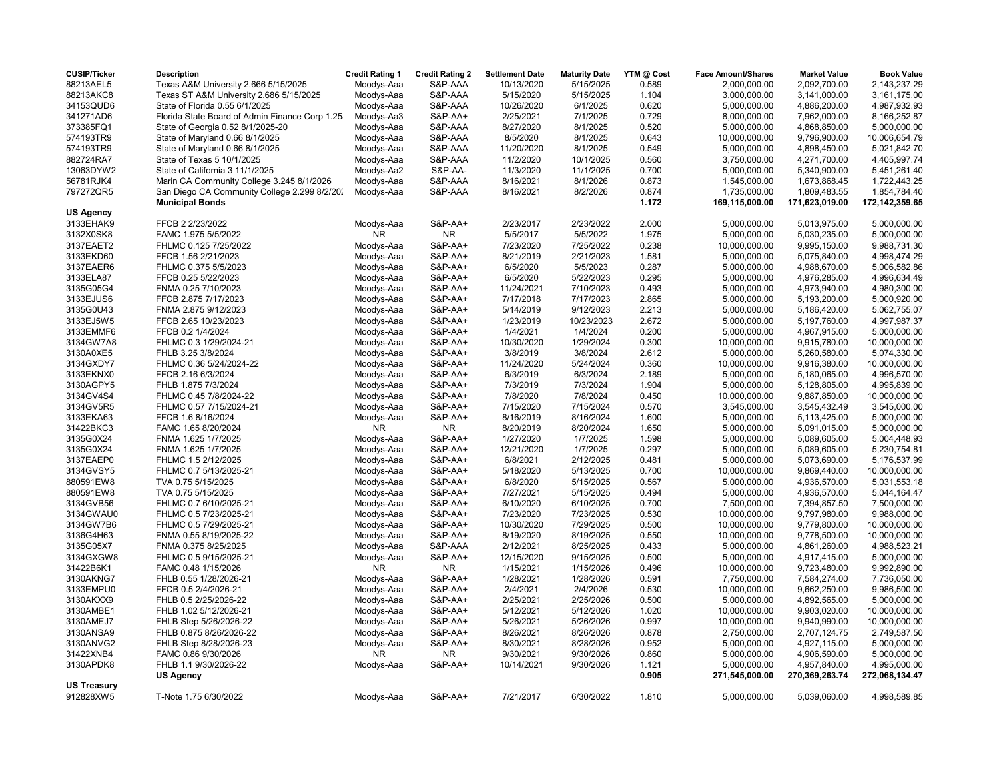| <b>CUSIP/Ticker</b> | <b>Description</b>                             | <b>Credit Rating 1</b> | <b>Credit Rating 2</b> | <b>Settlement Date</b> | <b>Maturity Date</b> | YTM @ Cost | <b>Face Amount/Shares</b> | <b>Market Value</b> | <b>Book Value</b> |
|---------------------|------------------------------------------------|------------------------|------------------------|------------------------|----------------------|------------|---------------------------|---------------------|-------------------|
| 88213AEL5           | Texas A&M University 2.666 5/15/2025           | Moodys-Aaa             | S&P-AAA                | 10/13/2020             | 5/15/2025            | 0.589      | 2,000,000.00              | 2,092,700.00        | 2,143,237.29      |
| 88213AKC8           | Texas ST A&M University 2.686 5/15/2025        | Moodys-Aaa             | S&P-AAA                | 5/15/2020              | 5/15/2025            | 1.104      | 3,000,000.00              | 3,141,000.00        | 3,161,175.00      |
| 34153QUD6           | State of Florida 0.55 6/1/2025                 | Moodys-Aaa             | S&P-AAA                | 10/26/2020             | 6/1/2025             | 0.620      | 5,000,000.00              | 4,886,200.00        | 4,987,932.93      |
| 341271AD6           | Florida State Board of Admin Finance Corp 1.25 | Moodys-Aa3             | <b>S&amp;P-AA+</b>     | 2/25/2021              | 7/1/2025             | 0.729      | 8,000,000.00              | 7,962,000.00        | 8,166,252.87      |
| 373385FQ1           | State of Georgia 0.52 8/1/2025-20              | Moodys-Aaa             | S&P-AAA                | 8/27/2020              | 8/1/2025             | 0.520      | 5,000,000.00              | 4,868,850.00        | 5,000,000.00      |
| 574193TR9           | State of Maryland 0.66 8/1/2025                | Moodys-Aaa             | S&P-AAA                | 8/5/2020               | 8/1/2025             | 0.643      | 10,000,000.00             | 9,796,900.00        | 10,006,654.79     |
| 574193TR9           | State of Maryland 0.66 8/1/2025                | Moodys-Aaa             | S&P-AAA                | 11/20/2020             | 8/1/2025             | 0.549      | 5,000,000.00              | 4,898,450.00        | 5,021,842.70      |
| 882724RA7           | State of Texas 5 10/1/2025                     | Moodys-Aaa             | S&P-AAA                | 11/2/2020              | 10/1/2025            | 0.560      | 3,750,000.00              | 4,271,700.00        | 4,405,997.74      |
| 13063DYW2           | State of California 3 11/1/2025                | Moodys-Aa2             | S&P-AA-                | 11/3/2020              | 11/1/2025            | 0.700      | 5,000,000.00              | 5,340,900.00        | 5,451,261.40      |
| 56781RJK4           | Marin CA Community College 3.245 8/1/2026      | Moodys-Aaa             | S&P-AAA                | 8/16/2021              | 8/1/2026             | 0.873      | 1,545,000.00              | 1,673,868.45        | 1,722,443.25      |
| 797272QR5           | San Diego CA Community College 2.299 8/2/202   | Moodys-Aaa             | S&P-AAA                | 8/16/2021              | 8/2/2026             | 0.874      | 1,735,000.00              | 1,809,483.55        | 1,854,784.40      |
|                     | <b>Municipal Bonds</b>                         |                        |                        |                        |                      | 1.172      | 169,115,000.00            | 171,623,019.00      | 172,142,359.65    |
| US Agency           |                                                |                        |                        |                        |                      |            |                           |                     |                   |
| 3133EHAK9           | FFCB 2 2/23/2022                               | Moodys-Aaa             | <b>S&amp;P-AA+</b>     | 2/23/2017              | 2/23/2022            | 2.000      | 5,000,000.00              | 5,013,975.00        | 5,000,000.00      |
| 3132X0SK8           | FAMC 1.975 5/5/2022                            | NR                     | NR.                    | 5/5/2017               | 5/5/2022             | 1.975      | 5,000,000.00              | 5,030,235.00        | 5,000,000.00      |
| 3137EAET2           | FHLMC 0.125 7/25/2022                          | Moodys-Aaa             | <b>S&amp;P-AA+</b>     | 7/23/2020              | 7/25/2022            | 0.238      | 10,000,000.00             | 9,995,150.00        | 9,988,731.30      |
| 3133EKD60           | FFCB 1.56 2/21/2023                            | Moodys-Aaa             | <b>S&amp;P-AA+</b>     | 8/21/2019              | 2/21/2023            | 1.581      | 5,000,000.00              | 5,075,840.00        | 4,998,474.29      |
| 3137EAER6           | FHLMC 0.375 5/5/2023                           | Moodys-Aaa             | <b>S&amp;P-AA+</b>     | 6/5/2020               | 5/5/2023             | 0.287      | 5,000,000.00              | 4,988,670.00        | 5,006,582.86      |
| 3133ELA87           | FFCB 0.25 5/22/2023                            | Moodys-Aaa             | <b>S&amp;P-AA+</b>     | 6/5/2020               | 5/22/2023            | 0.295      | 5,000,000.00              | 4,976,285.00        | 4,996,634.49      |
| 3135G05G4           | FNMA 0.25 7/10/2023                            | Moodys-Aaa             | <b>S&amp;P-AA+</b>     | 11/24/2021             | 7/10/2023            | 0.493      | 5,000,000.00              | 4,973,940.00        | 4,980,300.00      |
| 3133EJUS6           | FFCB 2.875 7/17/2023                           | Moodys-Aaa             | <b>S&amp;P-AA+</b>     | 7/17/2018              | 7/17/2023            | 2.865      | 5,000,000.00              | 5,193,200.00        | 5,000,920.00      |
| 3135G0U43           | FNMA 2.875 9/12/2023                           | Moodys-Aaa             | $S&P-AA+$              | 5/14/2019              | 9/12/2023            | 2.213      | 5,000,000.00              | 5,186,420.00        | 5,062,755.07      |
| 3133EJ5W5           | FFCB 2.65 10/23/2023                           | Moodys-Aaa             | S&P-AA+                | 1/23/2019              | 10/23/2023           | 2.672      | 5,000,000.00              | 5,197,760.00        | 4,997,987.37      |
| 3133EMMF6           | FFCB 0.2 1/4/2024                              | Moodys-Aaa             | <b>S&amp;P-AA+</b>     | 1/4/2021               | 1/4/2024             | 0.200      | 5,000,000.00              | 4,967,915.00        | 5,000,000.00      |
| 3134GW7A8           | FHLMC 0.3 1/29/2024-21                         | Moodys-Aaa             | <b>S&amp;P-AA+</b>     | 10/30/2020             | 1/29/2024            | 0.300      | 10,000,000.00             | 9,915,780.00        | 10,000,000.00     |
| 3130A0XE5           | FHLB 3.25 3/8/2024                             | Moodys-Aaa             | S&P-AA+                | 3/8/2019               | 3/8/2024             | 2.612      | 5,000,000.00              | 5,260,580.00        | 5,074,330.00      |
| 3134GXDY7           | FHLMC 0.36 5/24/2024-22                        | Moodys-Aaa             | S&P-AA+                | 11/24/2020             | 5/24/2024            | 0.360      | 10,000,000.00             | 9,916,380.00        | 10,000,000.00     |
| 3133EKNX0           | FFCB 2.16 6/3/2024                             | Moodys-Aaa             | <b>S&amp;P-AA+</b>     | 6/3/2019               | 6/3/2024             | 2.189      | 5,000,000.00              | 5,180,065.00        | 4,996,570.00      |
| 3130AGPY5           | FHLB 1.875 7/3/2024                            | Moodys-Aaa             | <b>S&amp;P-AA+</b>     | 7/3/2019               | 7/3/2024             | 1.904      | 5,000,000.00              | 5,128,805.00        | 4,995,839.00      |
| 3134GV4S4           | FHLMC 0.45 7/8/2024-22                         | Moodys-Aaa             | <b>S&amp;P-AA+</b>     | 7/8/2020               | 7/8/2024             | 0.450      | 10,000,000.00             | 9,887,850.00        | 10,000,000.00     |
| 3134GV5R5           | FHLMC 0.57 7/15/2024-21                        | Moodys-Aaa             | <b>S&amp;P-AA+</b>     | 7/15/2020              | 7/15/2024            | 0.570      | 3,545,000.00              | 3,545,432.49        | 3,545,000.00      |
| 3133EKA63           | FFCB 1.6 8/16/2024                             | Moodys-Aaa             | <b>S&amp;P-AA+</b>     | 8/16/2019              | 8/16/2024            | 1.600      | 5,000,000.00              | 5,113,425.00        | 5,000,000.00      |
| 31422BKC3           | FAMC 1.65 8/20/2024                            | <b>NR</b>              | <b>NR</b>              | 8/20/2019              | 8/20/2024            | 1.650      | 5,000,000.00              | 5,091,015.00        | 5,000,000.00      |
| 3135G0X24           | FNMA 1.625 1/7/2025                            | Moodys-Aaa             | <b>S&amp;P-AA+</b>     | 1/27/2020              | 1/7/2025             | 1.598      | 5,000,000.00              | 5,089,605.00        | 5,004,448.93      |
| 3135G0X24           | FNMA 1.625 1/7/2025                            | Moodys-Aaa             | <b>S&amp;P-AA+</b>     | 12/21/2020             | 1/7/2025             | 0.297      | 5,000,000.00              | 5,089,605.00        | 5,230,754.81      |
| 3137EAEP0           | FHLMC 1.5 2/12/2025                            | Moodys-Aaa             | <b>S&amp;P-AA+</b>     | 6/8/2021               | 2/12/2025            | 0.481      | 5,000,000.00              | 5,073,690.00        | 5,176,537.99      |
| 3134GVSY5           | FHLMC 0.7 5/13/2025-21                         | Moodys-Aaa             | <b>S&amp;P-AA+</b>     | 5/18/2020              | 5/13/2025            | 0.700      | 10,000,000.00             | 9,869,440.00        | 10,000,000.00     |
| 880591EW8           | TVA 0.75 5/15/2025                             | Moodys-Aaa             | S&P-AA+                | 6/8/2020               | 5/15/2025            | 0.567      | 5,000,000.00              | 4,936,570.00        | 5,031,553.18      |
| 880591EW8           | TVA 0.75 5/15/2025                             | Moodys-Aaa             | <b>S&amp;P-AA+</b>     | 7/27/2021              | 5/15/2025            | 0.494      | 5,000,000.00              | 4,936,570.00        | 5,044,164.47      |
| 3134GVB56           | FHLMC 0.7 6/10/2025-21                         | Moodys-Aaa             | S&P-AA+                | 6/10/2020              | 6/10/2025            | 0.700      | 7,500,000.00              | 7,394,857.50        | 7,500,000.00      |
| 3134GWAU0           | FHLMC 0.5 7/23/2025-21                         | Moodys-Aaa             | <b>S&amp;P-AA+</b>     | 7/23/2020              | 7/23/2025            | 0.530      | 10,000,000.00             | 9,797,980.00        | 9,988,000.00      |
| 3134GW7B6           | FHLMC 0.5 7/29/2025-21                         | Moodys-Aaa             | S&P-AA+                | 10/30/2020             | 7/29/2025            | 0.500      | 10,000,000.00             | 9,779,800.00        | 10,000,000.00     |
| 3136G4H63           | FNMA 0.55 8/19/2025-22                         | Moodys-Aaa             | <b>S&amp;P-AA+</b>     | 8/19/2020              | 8/19/2025            | 0.550      | 10,000,000.00             | 9,778,500.00        | 10,000,000.00     |
| 3135G05X7           | FNMA 0.375 8/25/2025                           | Moodys-Aaa             | S&P-AAA                | 2/12/2021              | 8/25/2025            | 0.433      | 5,000,000.00              | 4,861,260.00        | 4,988,523.21      |
| 3134GXGW8           | FHLMC 0.5 9/15/2025-21                         | Moodys-Aaa             | <b>S&amp;P-AA+</b>     | 12/15/2020             | 9/15/2025            | 0.500      | 5,000,000.00              | 4,917,415.00        | 5,000,000.00      |
| 31422B6K1           | FAMC 0.48 1/15/2026                            | <b>NR</b>              | <b>NR</b>              | 1/15/2021              | 1/15/2026            | 0.496      | 10,000,000.00             | 9,723,480.00        | 9,992,890.00      |
| 3130AKNG7           | FHLB 0.55 1/28/2026-21                         | Moodys-Aaa             | <b>S&amp;P-AA+</b>     | 1/28/2021              | 1/28/2026            | 0.591      | 7,750,000.00              | 7,584,274.00        | 7,736,050.00      |
| 3133EMPU0           | FFCB 0.5 2/4/2026-21                           | Moodys-Aaa             | <b>S&amp;P-AA+</b>     | 2/4/2021               | 2/4/2026             | 0.530      | 10,000,000.00             | 9,662,250.00        | 9,986,500.00      |
| 3130AKXX9           | FHLB 0.5 2/25/2026-22                          | Moodys-Aaa             | <b>S&amp;P-AA+</b>     | 2/25/2021              | 2/25/2026            | 0.500      | 5,000,000.00              | 4,892,565.00        | 5,000,000.00      |
| 3130AMBE1           | FHLB 1.02 5/12/2026-21                         | Moodys-Aaa             | <b>S&amp;P-AA+</b>     | 5/12/2021              | 5/12/2026            | 1.020      | 10,000,000.00             | 9,903,020.00        | 10,000,000.00     |
| 3130AMEJ7           | FHLB Step 5/26/2026-22                         | Moodys-Aaa             | S&P-AA+                | 5/26/2021              | 5/26/2026            | 0.997      | 10,000,000.00             | 9,940,990.00        | 10,000,000.00     |
| 3130ANSA9           | FHLB 0.875 8/26/2026-22                        | Moodys-Aaa             | <b>S&amp;P-AA+</b>     | 8/26/2021              | 8/26/2026            | 0.878      | 2,750,000.00              | 2,707,124.75        | 2,749,587.50      |
| 3130ANVG2           | FHLB Step 8/28/2026-23                         | Moodys-Aaa             | S&P-AA+                | 8/30/2021              | 8/28/2026            | 0.952      | 5,000,000.00              | 4,927,115.00        | 5,000,000.00      |
| 31422XNB4           | FAMC 0.86 9/30/2026                            | <b>NR</b>              | NR                     | 9/30/2021              | 9/30/2026            | 0.860      | 5,000,000.00              | 4,906,590.00        | 5,000,000.00      |
| 3130APDK8           | FHLB 1.1 9/30/2026-22                          | Moodys-Aaa             | <b>S&amp;P-AA+</b>     | 10/14/2021             | 9/30/2026            | 1.121      | 5,000,000.00              | 4,957,840.00        | 4,995,000.00      |
|                     | <b>US Agency</b>                               |                        |                        |                        |                      | 0.905      | 271,545,000.00            | 270,369,263.74      | 272,068,134.47    |
| US Treasury         |                                                |                        |                        |                        |                      |            |                           |                     |                   |
| 912828XW5           | T-Note 1.75 6/30/2022                          | Moodys-Aaa             | <b>S&amp;P-AA+</b>     | 7/21/2017              | 6/30/2022            | 1.810      | 5,000,000.00              | 5,039,060.00        | 4,998,589.85      |
|                     |                                                |                        |                        |                        |                      |            |                           |                     |                   |